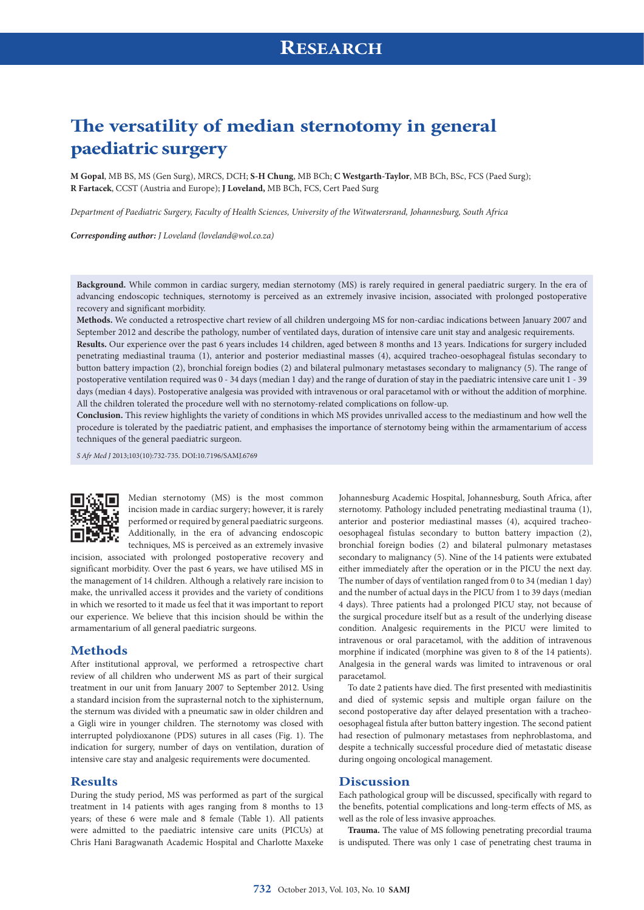# **The versatility of median sternotomy in general paediatric surgery**

**M Gopal**, MB BS, MS (Gen Surg), MRCS, DCH; **S-H Chung**, MB BCh; **C Westgarth-Taylor**, MB BCh, BSc, FCS (Paed Surg); **R Fartacek**, CCST (Austria and Europe); **J Loveland,** MB BCh, FCS, Cert Paed Surg

*Department of Paediatric Surgery, Faculty of Health Sciences, University of the Witwatersrand, Johannesburg, South Africa*

*Corresponding author: J Loveland [\(loveland@wol.co.za\)](mailto:loveland@wol.co.za)*

**Background.** While common in cardiac surgery, median sternotomy (MS) is rarely required in general paediatric surgery. In the era of advancing endoscopic techniques, sternotomy is perceived as an extremely invasive incision, associated with prolonged postoperative recovery and significant morbidity.

**Methods.** We conducted a retrospective chart review of all children undergoing MS for non-cardiac indications between January 2007 and September 2012 and describe the pathology, number of ventilated days, duration of intensive care unit stay and analgesic requirements.

**Results.** Our experience over the past 6 years includes 14 children, aged between 8 months and 13 years. Indications for surgery included penetrating mediastinal trauma (1), anterior and posterior mediastinal masses (4), acquired tracheo-oesophageal fistulas secondary to button battery impaction (2), bronchial foreign bodies (2) and bilateral pulmonary metastases secondary to malignancy (5). The range of postoperative ventilation required was 0 - 34 days (median 1 day) and the range of duration of stay in the paediatric intensive care unit 1 - 39 days (median 4 days). Postoperative analgesia was provided with intravenous or oral paracetamol with or without the addition of morphine. All the children tolerated the procedure well with no sternotomy-related complications on follow-up.

**Conclusion.** This review highlights the variety of conditions in which MS provides unrivalled access to the mediastinum and how well the procedure is tolerated by the paediatric patient, and emphasises the importance of sternotomy being within the armamentarium of access techniques of the general paediatric surgeon.

*S Afr Med J* 2013;103(10):732-735. DOI:10.7196/SAMJ.6769



Median sternotomy (MS) is the most common incision made in cardiac surgery; however, it is rarely performed or required by general paediatric surgeons. Additionally, in the era of advancing endoscopic techniques, MS is perceived as an extremely invasive

incision, associated with prolonged postoperative recovery and significant morbidity. Over the past 6 years, we have utilised MS in the management of 14 children. Although a relatively rare incision to make, the unrivalled access it provides and the variety of conditions in which we resorted to it made us feel that it was important to report our experience. We believe that this incision should be within the armamentarium of all general paediatric surgeons.

#### **Methods**

After institutional approval, we performed a retrospective chart review of all children who underwent MS as part of their surgical treatment in our unit from January 2007 to September 2012. Using a standard incision from the suprasternal notch to the xiphisternum, the sternum was divided with a pneumatic saw in older children and a Gigli wire in younger children. The sternotomy was closed with interrupted polydioxanone (PDS) sutures in all cases (Fig. 1). The indication for surgery, number of days on ventilation, duration of intensive care stay and analgesic requirements were documented.

#### **Results**

During the study period, MS was performed as part of the surgical treatment in 14 patients with ages ranging from 8 months to 13 years; of these 6 were male and 8 female (Table 1). All patients were admitted to the paediatric intensive care units (PICUs) at Chris Hani Baragwanath Academic Hospital and Charlotte Maxeke

Johannesburg Academic Hospital, Johannesburg, South Africa, after sternotomy. Pathology included penetrating mediastinal trauma (1), anterior and posterior mediastinal masses (4), acquired tracheooesophageal fistulas secondary to button battery impaction (2), bronchial foreign bodies (2) and bilateral pulmonary metastases secondary to malignancy (5). Nine of the 14 patients were extubated either immediately after the operation or in the PICU the next day. The number of days of ventilation ranged from 0 to 34 (median 1 day) and the number of actual days in the PICU from 1 to 39 days (median 4 days). Three patients had a prolonged PICU stay, not because of the surgical procedure itself but as a result of the underlying disease condition. Analgesic requirements in the PICU were limited to intravenous or oral paracetamol, with the addition of intravenous morphine if indicated (morphine was given to 8 of the 14 patients). Analgesia in the general wards was limited to intravenous or oral paracetamol.

To date 2 patients have died. The first presented with mediastinitis and died of systemic sepsis and multiple organ failure on the second postoperative day after delayed presentation with a tracheooesophageal fistula after button battery ingestion. The second patient had resection of pulmonary metastases from nephroblastoma, and despite a technically successful procedure died of metastatic disease during ongoing oncological management.

### **Discussion**

Each pathological group will be discussed, specifically with regard to the benefits, potential complications and long-term effects of MS, as well as the role of less invasive approaches.

**Trauma.** The value of MS following penetrating precordial trauma is undisputed. There was only 1 case of penetrating chest trauma in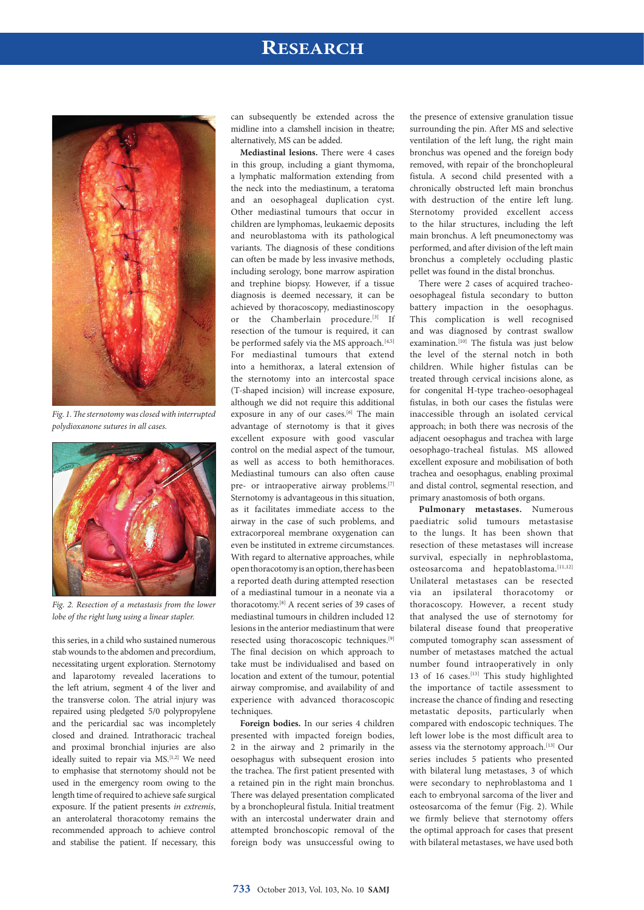## **RESEARCH**



*Fig. 1. The sternotomy was closed with interrupted polydioxanone sutures in all cases.*



*Fig. 2. Resection of a metastasis from the lower lobe of the right lung using a linear stapler.*

this series, in a child who sustained numerous stab wounds to the abdomen and precordium, necessitating urgent exploration. Sternotomy and laparotomy revealed lacerations to the left atrium, segment 4 of the liver and the transverse colon. The atrial injury was repaired using pledgeted 5/0 polypropylene and the pericardial sac was incompletely closed and drained. Intrathoracic tracheal and proximal bronchial injuries are also ideally suited to repair via MS.<sup>[1,2]</sup> We need to emphasise that sternotomy should not be used in the emergency room owing to the length time of required to achieve safe surgical exposure. If the patient presents *in extremis*, an anterolateral thoracotomy remains the recommended approach to achieve control and stabilise the patient. If necessary, this

can subsequently be extended across the midline into a clamshell incision in theatre; alternatively, MS can be added.

**Mediastinal lesions.** There were 4 cases in this group, including a giant thymoma, a lymphatic malformation extending from the neck into the mediastinum, a teratoma and an oesophageal duplication cyst. Other mediastinal tumours that occur in children are lymphomas, leukaemic deposits and neuroblastoma with its pathological variants. The diagnosis of these conditions can often be made by less invasive methods, including serology, bone marrow aspiration and trephine biopsy. However, if a tissue diagnosis is deemed necessary, it can be achieved by thoracoscopy, mediastinoscopy or the Chamberlain procedure.<sup>[3]</sup> If resection of the tumour is required, it can be performed safely via the MS approach.<sup>[4,5]</sup> For mediastinal tumours that extend into a hemithorax, a lateral extension of the sternotomy into an intercostal space (T-shaped incision) will increase exposure, although we did not require this additional exposure in any of our cases.<sup>[6]</sup> The main advantage of sternotomy is that it gives excellent exposure with good vascular control on the medial aspect of the tumour, as well as access to both hemithoraces. Mediastinal tumours can also often cause pre- or intraoperative airway problems.<sup>[7]</sup> Sternotomy is advantageous in this situation, as it facilitates immediate access to the airway in the case of such problems, and extracorporeal membrane oxygenation can even be instituted in extreme circumstances. With regard to alternative approaches, while open thoracotomy is an option, there has been a reported death during attempted resection of a mediastinal tumour in a neonate via a thoracotomy.[8] A recent series of 39 cases of mediastinal tumours in children included 12 lesions in the anterior mediastinum that were resected using thoracoscopic techniques.[9] The final decision on which approach to take must be individualised and based on location and extent of the tumour, potential airway compromise, and availability of and experience with advanced thoracoscopic techniques.

**Foreign bodies.** In our series 4 children presented with impacted foreign bodies, 2 in the airway and 2 primarily in the oesophagus with subsequent erosion into the trachea. The first patient presented with a retained pin in the right main bronchus. There was delayed presentation complicated by a bronchopleural fistula. Initial treatment with an intercostal underwater drain and attempted bronchoscopic removal of the foreign body was unsuccessful owing to

the presence of extensive granulation tissue surrounding the pin. After MS and selective ventilation of the left lung, the right main bronchus was opened and the foreign body removed, with repair of the bronchopleural fistula. A second child presented with a chronically obstructed left main bronchus with destruction of the entire left lung. Sternotomy provided excellent access to the hilar structures, including the left main bronchus. A left pneumonectomy was performed, and after division of the left main bronchus a completely occluding plastic pellet was found in the distal bronchus.

There were 2 cases of acquired tracheooesophageal fistula secondary to button battery impaction in the oesophagus. This complication is well recognised and was diagnosed by contrast swallow examination.<sup>[10]</sup> The fistula was just below the level of the sternal notch in both children. While higher fistulas can be treated through cervical incisions alone, as for congenital H-type tracheo-oesophageal fistulas, in both our cases the fistulas were inaccessible through an isolated cervical approach; in both there was necrosis of the adjacent oesophagus and trachea with large oesophago-tracheal fistulas. MS allowed excellent exposure and mobilisation of both trachea and oesophagus, enabling proximal and distal control, segmental resection, and primary anastomosis of both organs.

**Pulmonary metastases.** Numerous paediatric solid tumours metastasise to the lungs. It has been shown that resection of these metastases will increase survival, especially in nephroblastoma, osteosarcoma and hepatoblastoma.<sup>[11,12]</sup> Unilateral metastases can be resected via an ipsilateral thoracotomy or thoracoscopy. However, a recent study that analysed the use of sternotomy for bilateral disease found that preoperative computed tomography scan assessment of number of metastases matched the actual number found intraoperatively in only 13 of 16 cases.<sup>[13]</sup> This study highlighted the importance of tactile assessment to increase the chance of finding and resecting metastatic deposits, particularly when compared with endoscopic techniques. The left lower lobe is the most difficult area to assess via the sternotomy approach.<sup>[13]</sup> Our series includes 5 patients who presented with bilateral lung metastases, 3 of which were secondary to nephroblastoma and 1 each to embryonal sarcoma of the liver and osteosarcoma of the femur (Fig. 2). While we firmly believe that sternotomy offers the optimal approach for cases that present with bilateral metastases, we have used both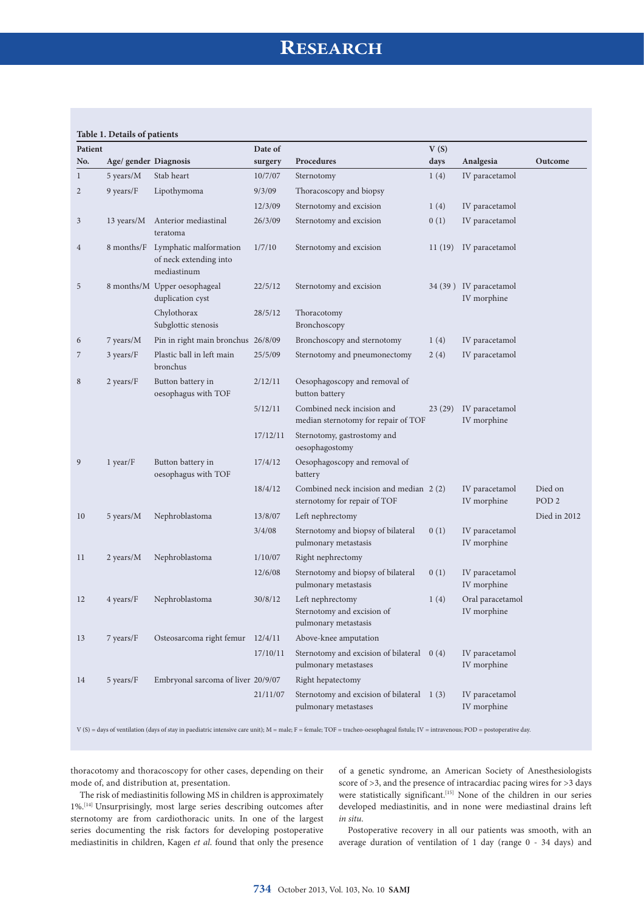## **RESEARCH**

## **Table 1. Details of patients**

| Patient      |                       |                                                                 | Date of  |                                                                        | V(S)   |                                       |                             |
|--------------|-----------------------|-----------------------------------------------------------------|----------|------------------------------------------------------------------------|--------|---------------------------------------|-----------------------------|
| No.          | Age/ gender Diagnosis |                                                                 | surgery  | Procedures                                                             | days   | Analgesia                             | Outcome                     |
| $\mathbf{1}$ | 5 years/M             | Stab heart                                                      | 10/7/07  | Sternotomy                                                             | 1(4)   | IV paracetamol                        |                             |
| 2            | 9 years/F             | Lipothymoma                                                     | 9/3/09   | Thoracoscopy and biopsy                                                |        |                                       |                             |
|              |                       |                                                                 | 12/3/09  | Sternotomy and excision                                                | 1(4)   | IV paracetamol                        |                             |
| 3            | 13 years/M            | Anterior mediastinal<br>teratoma                                | 26/3/09  | Sternotomy and excision                                                | 0(1)   | IV paracetamol                        |                             |
| 4            | 8 months/F            | Lymphatic malformation<br>of neck extending into<br>mediastinum | 1/7/10   | Sternotomy and excision                                                |        | 11 (19) IV paracetamol                |                             |
| 5            |                       | 8 months/M Upper oesophageal<br>duplication cyst                | 22/5/12  | Sternotomy and excision                                                |        | 34 (39) IV paracetamol<br>IV morphine |                             |
|              |                       | Chylothorax<br>Subglottic stenosis                              | 28/5/12  | Thoracotomy<br>Bronchoscopy                                            |        |                                       |                             |
| 6            | 7 years/M             | Pin in right main bronchus 26/8/09                              |          | Bronchoscopy and sternotomy                                            | 1(4)   | IV paracetamol                        |                             |
| 7            | $3 \text{ years}/F$   | Plastic ball in left main<br>bronchus                           | 25/5/09  | Sternotomy and pneumonectomy                                           | 2(4)   | IV paracetamol                        |                             |
| 8            | 2 years/F             | Button battery in<br>oesophagus with TOF                        | 2/12/11  | Oesophagoscopy and removal of<br>button battery                        |        |                                       |                             |
|              |                       |                                                                 | 5/12/11  | Combined neck incision and<br>median sternotomy for repair of TOF      | 23(29) | IV paracetamol<br>IV morphine         |                             |
|              |                       |                                                                 | 17/12/11 | Sternotomy, gastrostomy and<br>oesophagostomy                          |        |                                       |                             |
| 9            | $1$ year/ $F$         | Button battery in<br>oesophagus with TOF                        | 17/4/12  | Oesophagoscopy and removal of<br>battery                               |        |                                       |                             |
|              |                       |                                                                 | 18/4/12  | Combined neck incision and median 2(2)<br>sternotomy for repair of TOF |        | IV paracetamol<br>IV morphine         | Died on<br>POD <sub>2</sub> |
| 10           | 5 years/M             | Nephroblastoma                                                  | 13/8/07  | Left nephrectomy                                                       |        |                                       | Died in 2012                |
|              |                       |                                                                 | 3/4/08   | Sternotomy and biopsy of bilateral<br>pulmonary metastasis             | 0(1)   | IV paracetamol<br>IV morphine         |                             |
| 11           | 2 years/M             | Nephroblastoma                                                  | 1/10/07  | Right nephrectomy                                                      |        |                                       |                             |
|              |                       |                                                                 | 12/6/08  | Sternotomy and biopsy of bilateral<br>pulmonary metastasis             | 0(1)   | IV paracetamol<br>IV morphine         |                             |
| 12           | 4 years/F             | Nephroblastoma                                                  | 30/8/12  | Left nephrectomy<br>Sternotomy and excision of<br>pulmonary metastasis | 1(4)   | Oral paracetamol<br>IV morphine       |                             |
| 13           | 7 years/F             | Osteosarcoma right femur 12/4/11                                |          | Above-knee amputation                                                  |        |                                       |                             |
|              |                       |                                                                 | 17/10/11 | Sternotomy and excision of bilateral 0 (4)<br>pulmonary metastases     |        | IV paracetamol<br>IV morphine         |                             |
| 14           | 5 years/F             | Embryonal sarcoma of liver 20/9/07                              |          | Right hepatectomy                                                      |        |                                       |                             |
|              |                       |                                                                 | 21/11/07 | Sternotomy and excision of bilateral 1 (3)<br>pulmonary metastases     |        | IV paracetamol<br>IV morphine         |                             |

V (S) = days of ventilation (days of stay in paediatric intensive care unit); M = male; F = female; TOF = tracheo-oesophageal fistula; IV = intravenous; POD = postoperative day.

thoracotomy and thoracoscopy for other cases, depending on their mode of, and distribution at, presentation.

The risk of mediastinitis following MS in children is approximately 1%.[14] Unsurprisingly, most large series describing outcomes after sternotomy are from cardiothoracic units. In one of the largest series documenting the risk factors for developing postoperative mediastinitis in children, Kagen *et al*. found that only the presence of a genetic syndrome, an American Society of Anesthesiologists score of >3, and the presence of intracardiac pacing wires for >3 days were statistically significant.<sup>[15]</sup> None of the children in our series developed mediastinitis, and in none were mediastinal drains left *in situ*.

Postoperative recovery in all our patients was smooth, with an average duration of ventilation of 1 day (range 0 - 34 days) and